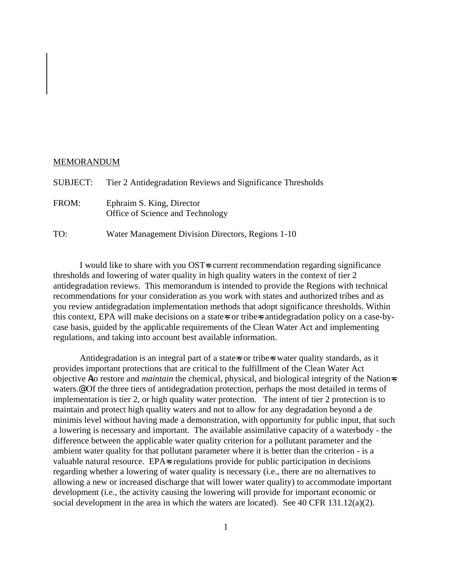## MEMORANDUM

| <b>SUBJECT:</b> | Tier 2 Antidegradation Reviews and Significance Thresholds    |
|-----------------|---------------------------------------------------------------|
| FROM:           | Ephraim S. King, Director<br>Office of Science and Technology |
| TO:             | Water Management Division Directors, Regions 1-10             |

I would like to share with you OST=s current recommendation regarding significance thresholds and lowering of water quality in high quality waters in the context of tier 2 antidegradation reviews. This memorandum is intended to provide the Regions with technical recommendations for your consideration as you work with states and authorized tribes and as you review antidegradation implementation methods that adopt significance thresholds. Within this context, EPA will make decisions on a state-s or tribe-s antidegradation policy on a case-bycase basis, guided by the applicable requirements of the Clean Water Act and implementing regulations, and taking into account best available information.

Antidegradation is an integral part of a state-s or tribe-s water quality standards, as it provides important protections that are critical to the fulfillment of the Clean Water Act objective Ato restore and *maintain* the chemical, physical, and biological integrity of the Nation=s waters.@ Of the three tiers of antidegradation protection, perhaps the most detailed in terms of implementation is tier 2, or high quality water protection. The intent of tier 2 protection is to maintain and protect high quality waters and not to allow for any degradation beyond a de minimis level without having made a demonstration, with opportunity for public input, that such a lowering is necessary and important. The available assimilative capacity of a waterbody - the difference between the applicable water quality criterion for a pollutant parameter and the ambient water quality for that pollutant parameter where it is better than the criterion - is a valuable natural resource. EPA-s regulations provide for public participation in decisions regarding whether a lowering of water quality is necessary (i.e., there are no alternatives to allowing a new or increased discharge that will lower water quality) to accommodate important development (i.e., the activity causing the lowering will provide for important economic or social development in the area in which the waters are located). See 40 CFR 131.12(a)(2).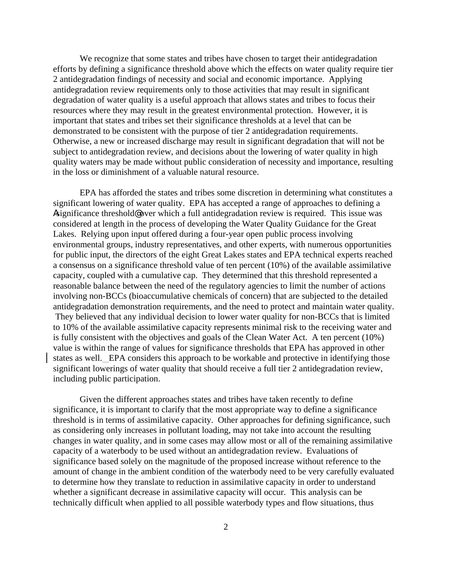We recognize that some states and tribes have chosen to target their antidegradation efforts by defining a significance threshold above which the effects on water quality require tier 2 antidegradation findings of necessity and social and economic importance. Applying antidegradation review requirements only to those activities that may result in significant degradation of water quality is a useful approach that allows states and tribes to focus their resources where they may result in the greatest environmental protection. However, it is important that states and tribes set their significance thresholds at a level that can be demonstrated to be consistent with the purpose of tier 2 antidegradation requirements. Otherwise, a new or increased discharge may result in significant degradation that will not be subject to antidegradation review, and decisions about the lowering of water quality in high quality waters may be made without public consideration of necessity and importance, resulting in the loss or diminishment of a valuable natural resource.

EPA has afforded the states and tribes some discretion in determining what constitutes a significant lowering of water quality. EPA has accepted a range of approaches to defining a Asignificance threshold@ over which a full antidegradation review is required. This issue was considered at length in the process of developing the Water Quality Guidance for the Great Lakes. Relying upon input offered during a four-year open public process involving environmental groups, industry representatives, and other experts, with numerous opportunities for public input, the directors of the eight Great Lakes states and EPA technical experts reached a consensus on a significance threshold value of ten percent (10%) of the available assimilative capacity, coupled with a cumulative cap. They determined that this threshold represented a reasonable balance between the need of the regulatory agencies to limit the number of actions involving non-BCCs (bioaccumulative chemicals of concern) that are subjected to the detailed antidegradation demonstration requirements, and the need to protect and maintain water quality. They believed that any individual decision to lower water quality for non-BCCs that is limited to 10% of the available assimilative capacity represents minimal risk to the receiving water and is fully consistent with the objectives and goals of the Clean Water Act. A ten percent (10%) value is within the range of values for significance thresholds that EPA has approved in other states as well. EPA considers this approach to be workable and protective in identifying those significant lowerings of water quality that should receive a full tier 2 antidegradation review, including public participation.

Given the different approaches states and tribes have taken recently to define significance, it is important to clarify that the most appropriate way to define a significance threshold is in terms of assimilative capacity. Other approaches for defining significance, such as considering only increases in pollutant loading, may not take into account the resulting changes in water quality, and in some cases may allow most or all of the remaining assimilative capacity of a waterbody to be used without an antidegradation review. Evaluations of significance based solely on the magnitude of the proposed increase without reference to the amount of change in the ambient condition of the waterbody need to be very carefully evaluated to determine how they translate to reduction in assimilative capacity in order to understand whether a significant decrease in assimilative capacity will occur. This analysis can be technically difficult when applied to all possible waterbody types and flow situations, thus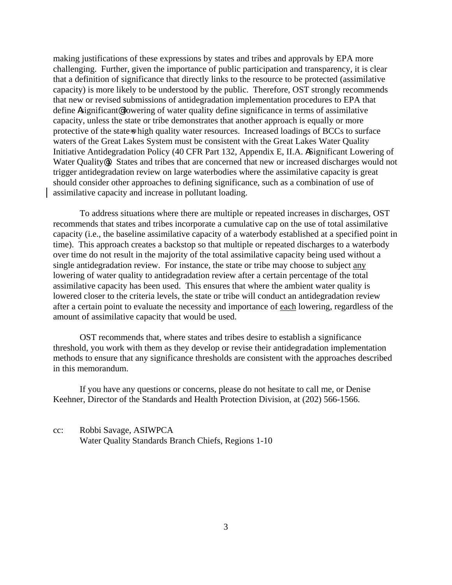making justifications of these expressions by states and tribes and approvals by EPA more challenging. Further, given the importance of public participation and transparency, it is clear that a definition of significance that directly links to the resource to be protected (assimilative capacity) is more likely to be understood by the public. Therefore, OST strongly recommends that new or revised submissions of antidegradation implementation procedures to EPA that define Asignificant@ lowering of water quality define significance in terms of assimilative capacity, unless the state or tribe demonstrates that another approach is equally or more protective of the state-s high quality water resources. Increased loadings of BCCs to surface waters of the Great Lakes System must be consistent with the Great Lakes Water Quality Initiative Antidegradation Policy (40 CFR Part 132, Appendix E, II.A. ASignificant Lowering of Water Quality<sup>®</sup>). States and tribes that are concerned that new or increased discharges would not trigger antidegradation review on large waterbodies where the assimilative capacity is great should consider other approaches to defining significance, such as a combination of use of assimilative capacity and increase in pollutant loading.

To address situations where there are multiple or repeated increases in discharges, OST recommends that states and tribes incorporate a cumulative cap on the use of total assimilative capacity (i.e., the baseline assimilative capacity of a waterbody established at a specified point in time). This approach creates a backstop so that multiple or repeated discharges to a waterbody over time do not result in the majority of the total assimilative capacity being used without a single antidegradation review. For instance, the state or tribe may choose to subject any lowering of water quality to antidegradation review after a certain percentage of the total assimilative capacity has been used. This ensures that where the ambient water quality is lowered closer to the criteria levels, the state or tribe will conduct an antidegradation review after a certain point to evaluate the necessity and importance of each lowering, regardless of the amount of assimilative capacity that would be used.

OST recommends that, where states and tribes desire to establish a significance threshold, you work with them as they develop or revise their antidegradation implementation methods to ensure that any significance thresholds are consistent with the approaches described in this memorandum.

If you have any questions or concerns, please do not hesitate to call me, or Denise Keehner, Director of the Standards and Health Protection Division, at (202) 566-1566.

cc: Robbi Savage, ASIWPCA Water Quality Standards Branch Chiefs, Regions 1-10